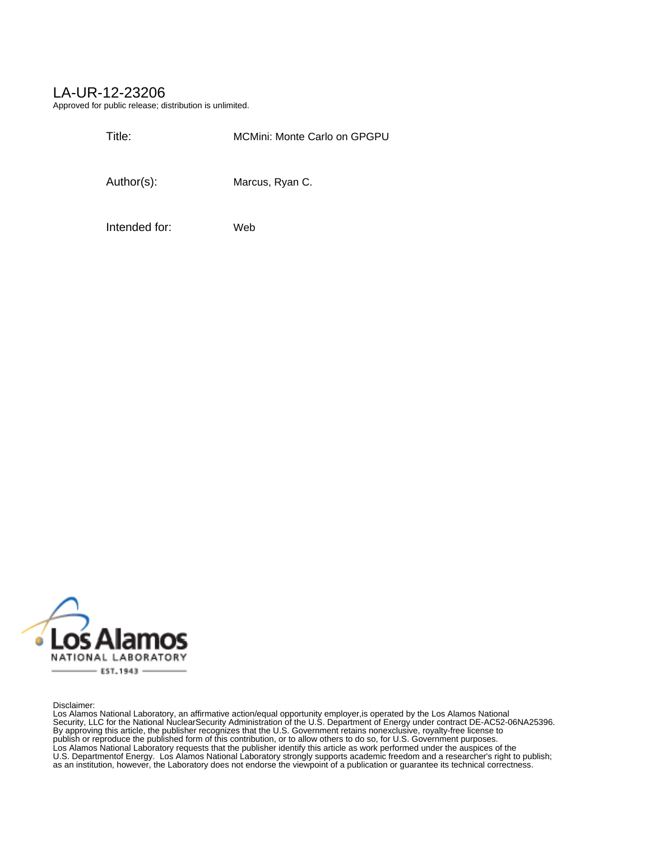## LA-UR-12-23206

Approved for public release; distribution is unlimited.

Title: MCMini: Monte Carlo on GPGPU

Author(s): Marcus, Ryan C.

Intended for: Web



Disclaimer:

Los Alamos National Laboratory, an affirmative action/equal opportunity employer,is operated by the Los Alamos National Security, LLC for the National NuclearSecurity Administration of the U.S. Department of Energy under contract DE-AC52-06NA25396. By approving this article, the publisher recognizes that the U.S. Government retains nonexclusive, royalty-free license to publish or reproduce the published form of this contribution, or to allow others to do so, for U.S. Government purposes. Los Alamos National Laboratory requests that the publisher identify this article as work performed under the auspices of the U.S. Departmentof Energy. Los Alamos National Laboratory strongly supports academic freedom and a researcher's right to publish; as an institution, however, the Laboratory does not endorse the viewpoint of a publication or guarantee its technical correctness.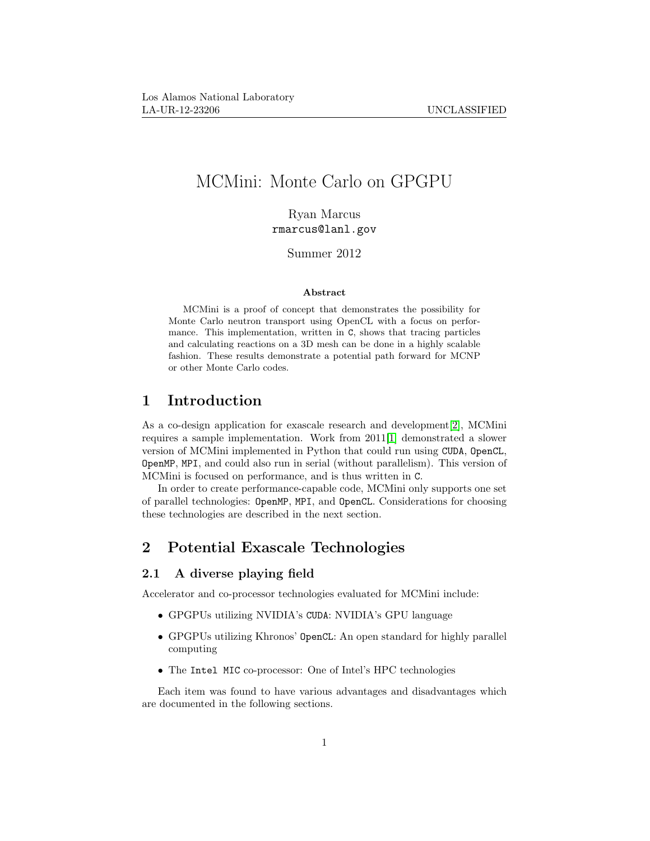# MCMini: Monte Carlo on GPGPU

Ryan Marcus rmarcus@lanl.gov

Summer 2012

#### Abstract

MCMini is a proof of concept that demonstrates the possibility for Monte Carlo neutron transport using OpenCL with a focus on performance. This implementation, written in C, shows that tracing particles and calculating reactions on a 3D mesh can be done in a highly scalable fashion. These results demonstrate a potential path forward for MCNP or other Monte Carlo codes.

## 1 Introduction

As a co-design application for exascale research and development[\[2\]](#page-15-0), MCMini requires a sample implementation. Work from 2011[\[1\]](#page-15-1) demonstrated a slower version of MCMini implemented in Python that could run using CUDA, OpenCL, OpenMP, MPI, and could also run in serial (without parallelism). This version of MCMini is focused on performance, and is thus written in C.

In order to create performance-capable code, MCMini only supports one set of parallel technologies: OpenMP, MPI, and OpenCL. Considerations for choosing these technologies are described in the next section.

## 2 Potential Exascale Technologies

## 2.1 A diverse playing field

Accelerator and co-processor technologies evaluated for MCMini include:

- GPGPUs utilizing NVIDIA's CUDA: NVIDIA's GPU language
- GPGPUs utilizing Khronos' OpenCL: An open standard for highly parallel computing
- The Intel MIC co-processor: One of Intel's HPC technologies

Each item was found to have various advantages and disadvantages which are documented in the following sections.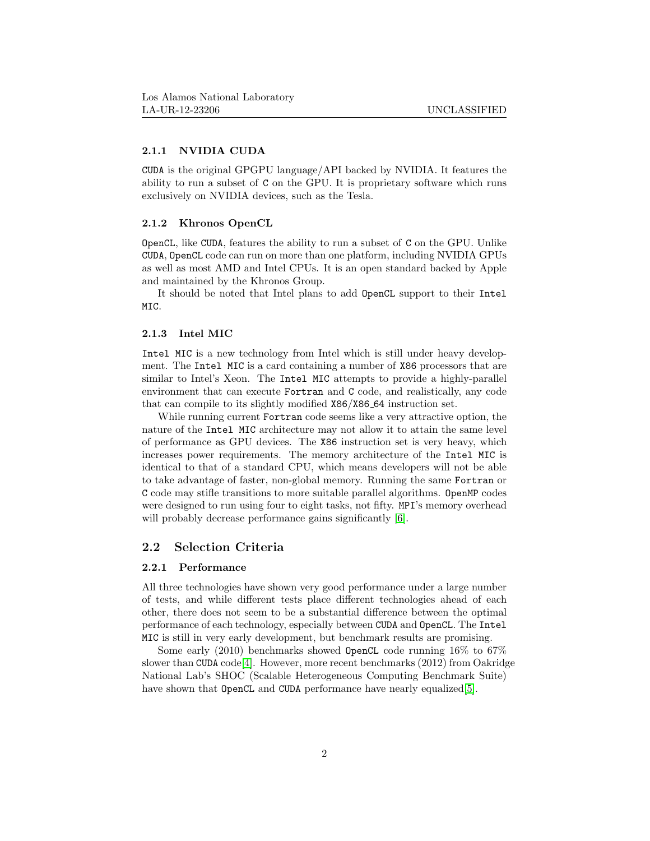#### 2.1.1 NVIDIA CUDA

CUDA is the original GPGPU language/API backed by NVIDIA. It features the ability to run a subset of C on the GPU. It is proprietary software which runs exclusively on NVIDIA devices, such as the Tesla.

#### 2.1.2 Khronos OpenCL

OpenCL, like CUDA, features the ability to run a subset of C on the GPU. Unlike CUDA, OpenCL code can run on more than one platform, including NVIDIA GPUs as well as most AMD and Intel CPUs. It is an open standard backed by Apple and maintained by the Khronos Group.

It should be noted that Intel plans to add OpenCL support to their Intel MIC.

#### 2.1.3 Intel MIC

Intel MIC is a new technology from Intel which is still under heavy development. The Intel MIC is a card containing a number of X86 processors that are similar to Intel's Xeon. The Intel MIC attempts to provide a highly-parallel environment that can execute Fortran and C code, and realistically, any code that can compile to its slightly modified X86/X86 64 instruction set.

While running current Fortran code seems like a very attractive option, the nature of the Intel MIC architecture may not allow it to attain the same level of performance as GPU devices. The X86 instruction set is very heavy, which increases power requirements. The memory architecture of the Intel MIC is identical to that of a standard CPU, which means developers will not be able to take advantage of faster, non-global memory. Running the same Fortran or C code may stifle transitions to more suitable parallel algorithms. OpenMP codes were designed to run using four to eight tasks, not fifty. MPI's memory overhead will probably decrease performance gains significantly [\[6\]](#page-15-2).

#### 2.2 Selection Criteria

### 2.2.1 Performance

All three technologies have shown very good performance under a large number of tests, and while different tests place different technologies ahead of each other, there does not seem to be a substantial difference between the optimal performance of each technology, especially between CUDA and OpenCL. The Intel MIC is still in very early development, but benchmark results are promising.

Some early (2010) benchmarks showed OpenCL code running 16% to 67% slower than CUDA code<sup>[\[4\]](#page-15-3)</sup>. However, more recent benchmarks  $(2012)$  from Oakridge National Lab's SHOC (Scalable Heterogeneous Computing Benchmark Suite) have shown that OpenCL and CUDA performance have nearly equalized[\[5\]](#page-15-4).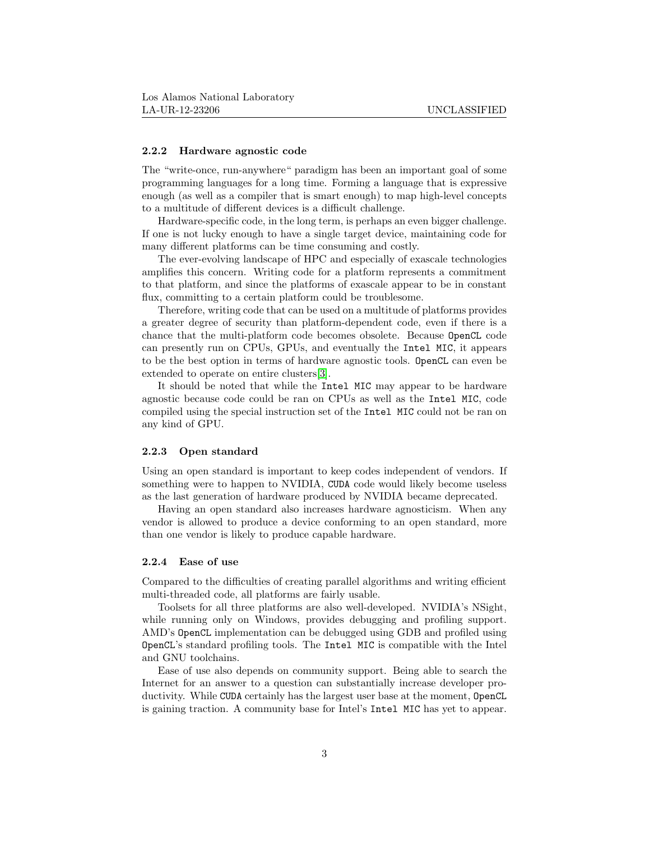#### 2.2.2 Hardware agnostic code

The "write-once, run-anywhere" paradigm has been an important goal of some programming languages for a long time. Forming a language that is expressive enough (as well as a compiler that is smart enough) to map high-level concepts to a multitude of different devices is a difficult challenge.

Hardware-specific code, in the long term, is perhaps an even bigger challenge. If one is not lucky enough to have a single target device, maintaining code for many different platforms can be time consuming and costly.

The ever-evolving landscape of HPC and especially of exascale technologies amplifies this concern. Writing code for a platform represents a commitment to that platform, and since the platforms of exascale appear to be in constant flux, committing to a certain platform could be troublesome.

Therefore, writing code that can be used on a multitude of platforms provides a greater degree of security than platform-dependent code, even if there is a chance that the multi-platform code becomes obsolete. Because OpenCL code can presently run on CPUs, GPUs, and eventually the Intel MIC, it appears to be the best option in terms of hardware agnostic tools. OpenCL can even be extended to operate on entire clusters[\[3\]](#page-15-5).

It should be noted that while the Intel MIC may appear to be hardware agnostic because code could be ran on CPUs as well as the Intel MIC, code compiled using the special instruction set of the Intel MIC could not be ran on any kind of GPU.

#### 2.2.3 Open standard

Using an open standard is important to keep codes independent of vendors. If something were to happen to NVIDIA, CUDA code would likely become useless as the last generation of hardware produced by NVIDIA became deprecated.

Having an open standard also increases hardware agnosticism. When any vendor is allowed to produce a device conforming to an open standard, more than one vendor is likely to produce capable hardware.

#### 2.2.4 Ease of use

Compared to the difficulties of creating parallel algorithms and writing efficient multi-threaded code, all platforms are fairly usable.

Toolsets for all three platforms are also well-developed. NVIDIA's NSight, while running only on Windows, provides debugging and profiling support. AMD's OpenCL implementation can be debugged using GDB and profiled using OpenCL's standard profiling tools. The Intel MIC is compatible with the Intel and GNU toolchains.

Ease of use also depends on community support. Being able to search the Internet for an answer to a question can substantially increase developer productivity. While CUDA certainly has the largest user base at the moment, OpenCL is gaining traction. A community base for Intel's Intel MIC has yet to appear.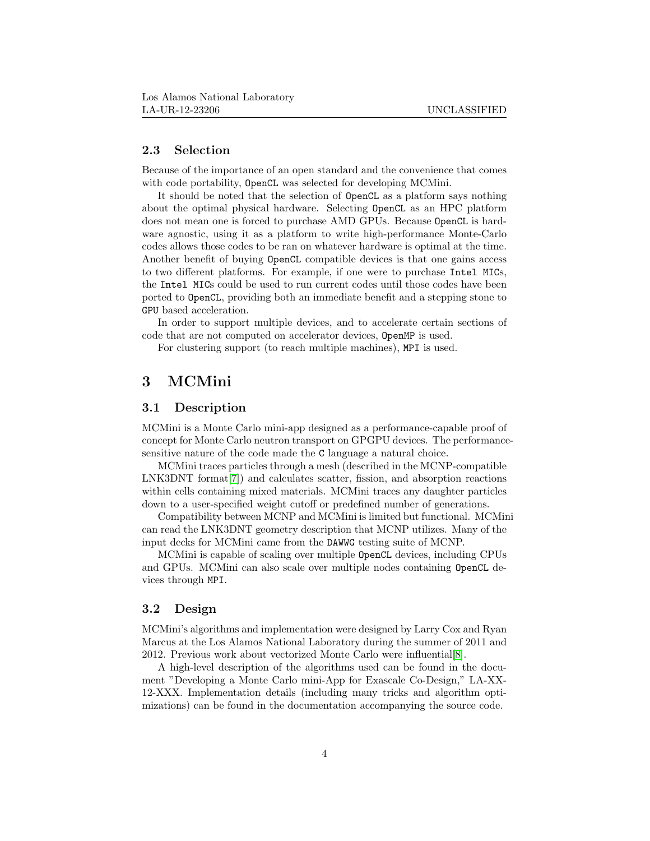### 2.3 Selection

Because of the importance of an open standard and the convenience that comes with code portability, OpenCL was selected for developing MCMini.

It should be noted that the selection of OpenCL as a platform says nothing about the optimal physical hardware. Selecting OpenCL as an HPC platform does not mean one is forced to purchase AMD GPUs. Because OpenCL is hardware agnostic, using it as a platform to write high-performance Monte-Carlo codes allows those codes to be ran on whatever hardware is optimal at the time. Another benefit of buying OpenCL compatible devices is that one gains access to two different platforms. For example, if one were to purchase Intel MICs, the Intel MICs could be used to run current codes until those codes have been ported to OpenCL, providing both an immediate benefit and a stepping stone to GPU based acceleration.

In order to support multiple devices, and to accelerate certain sections of code that are not computed on accelerator devices, OpenMP is used.

For clustering support (to reach multiple machines), MPI is used.

## 3 MCMini

## 3.1 Description

MCMini is a Monte Carlo mini-app designed as a performance-capable proof of concept for Monte Carlo neutron transport on GPGPU devices. The performancesensitive nature of the code made the C language a natural choice.

MCMini traces particles through a mesh (described in the MCNP-compatible LNK3DNT format[\[7\]](#page-15-6)) and calculates scatter, fission, and absorption reactions within cells containing mixed materials. MCMini traces any daughter particles down to a user-specified weight cutoff or predefined number of generations.

Compatibility between MCNP and MCMini is limited but functional. MCMini can read the LNK3DNT geometry description that MCNP utilizes. Many of the input decks for MCMini came from the DAWWG testing suite of MCNP.

MCMini is capable of scaling over multiple OpenCL devices, including CPUs and GPUs. MCMini can also scale over multiple nodes containing OpenCL devices through MPI.

### 3.2 Design

MCMini's algorithms and implementation were designed by Larry Cox and Ryan Marcus at the Los Alamos National Laboratory during the summer of 2011 and 2012. Previous work about vectorized Monte Carlo were influential[\[8\]](#page-15-7).

A high-level description of the algorithms used can be found in the document "Developing a Monte Carlo mini-App for Exascale Co-Design," LA-XX-12-XXX. Implementation details (including many tricks and algorithm optimizations) can be found in the documentation accompanying the source code.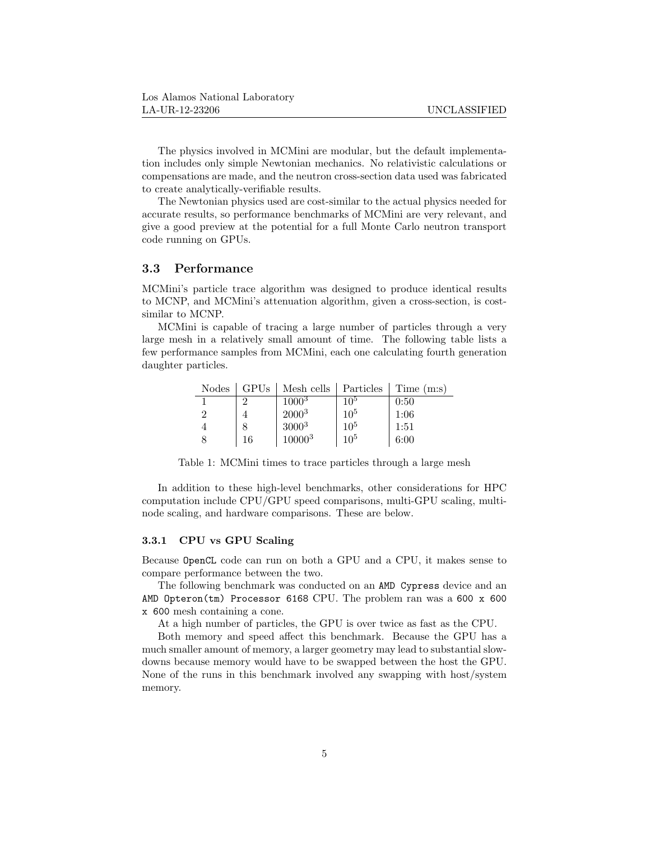The physics involved in MCMini are modular, but the default implementation includes only simple Newtonian mechanics. No relativistic calculations or compensations are made, and the neutron cross-section data used was fabricated to create analytically-verifiable results.

The Newtonian physics used are cost-similar to the actual physics needed for accurate results, so performance benchmarks of MCMini are very relevant, and give a good preview at the potential for a full Monte Carlo neutron transport code running on GPUs.

## 3.3 Performance

MCMini's particle trace algorithm was designed to produce identical results to MCNP, and MCMini's attenuation algorithm, given a cross-section, is costsimilar to MCNP.

MCMini is capable of tracing a large number of particles through a very large mesh in a relatively small amount of time. The following table lists a few performance samples from MCMini, each one calculating fourth generation daughter particles.

| <b>Nodes</b> | GPUs | Mesh cells   Particles |                 | Time (m:s) |
|--------------|------|------------------------|-----------------|------------|
|              | ച    | $1000^{3}$             | $10^{5}$        | 0:50       |
| റ            |      | $2000^{3}$             | 10 <sup>5</sup> | 1:06       |
|              |      | $3000^{3}$             | 10 <sup>5</sup> | 1:51       |
|              | 16   | $10000^{3}$            | $10^{5}$        | 6:00       |

Table 1: MCMini times to trace particles through a large mesh

In addition to these high-level benchmarks, other considerations for HPC computation include CPU/GPU speed comparisons, multi-GPU scaling, multinode scaling, and hardware comparisons. These are below.

#### 3.3.1 CPU vs GPU Scaling

Because OpenCL code can run on both a GPU and a CPU, it makes sense to compare performance between the two.

The following benchmark was conducted on an AMD Cypress device and an AMD Opteron(tm) Processor 6168 CPU. The problem ran was a 600 x 600 x 600 mesh containing a cone.

At a high number of particles, the GPU is over twice as fast as the CPU.

Both memory and speed affect this benchmark. Because the GPU has a much smaller amount of memory, a larger geometry may lead to substantial slowdowns because memory would have to be swapped between the host the GPU. None of the runs in this benchmark involved any swapping with host/system memory.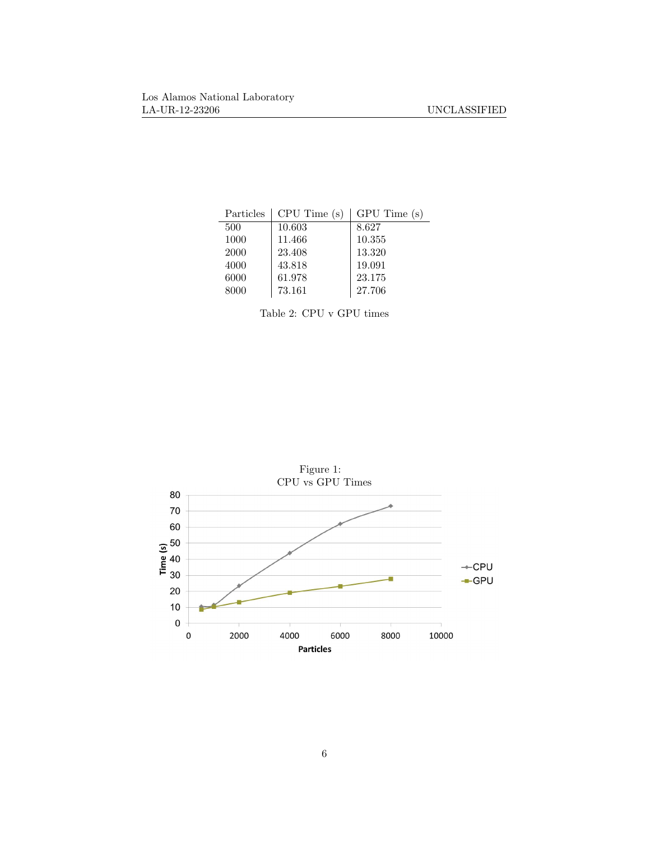| Particles | CPU Time (s) | $GPU$ Time $(s)$ |
|-----------|--------------|------------------|
| 500       | 10.603       | 8.627            |
| 1000      | 11.466       | 10.355           |
| 2000      | 23.408       | 13.320           |
| 4000      | 43.818       | 19.091           |
| 6000      | 61.978       | 23.175           |
| 8000      | 73.161       | 27.706           |
|           |              |                  |

Table 2: CPU v GPU times

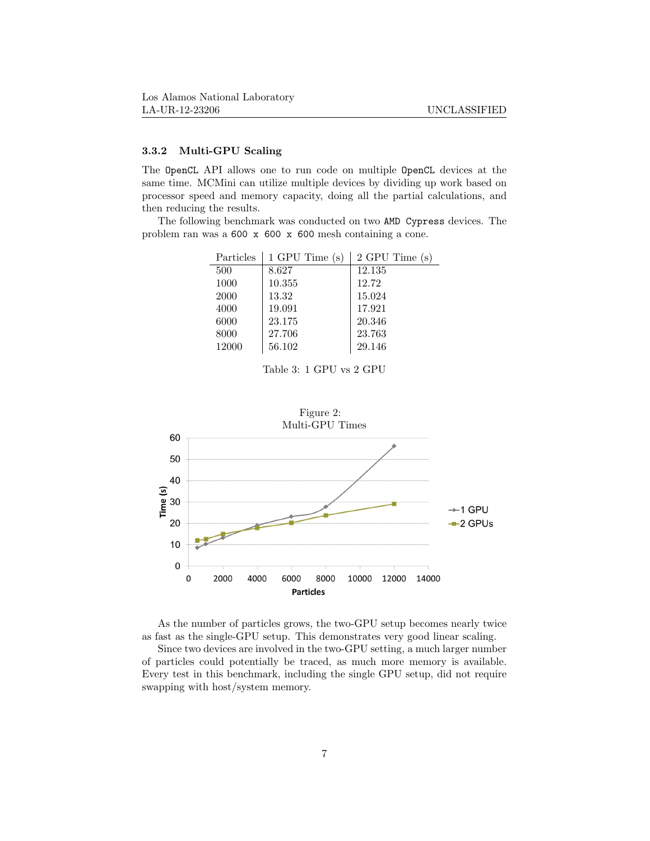### 3.3.2 Multi-GPU Scaling

The OpenCL API allows one to run code on multiple OpenCL devices at the same time. MCMini can utilize multiple devices by dividing up work based on processor speed and memory capacity, doing all the partial calculations, and then reducing the results.

The following benchmark was conducted on two AMD Cypress devices. The problem ran was a 600 x 600 x 600 mesh containing a cone.

| Particles | $1$ GPU Time $(s)$ | 2 GPU Time<br>(s) |
|-----------|--------------------|-------------------|
| 500       | 8.627              | 12.135            |
| 1000      | 10.355             | 12.72             |
| 2000      | 13.32              | 15.024            |
| 4000      | 19.091             | 17.921            |
| 6000      | 23.175             | 20.346            |
| 8000      | 27.706             | 23.763            |
| 12000     | 56.102             | 29.146            |
|           |                    |                   |

Table 3: 1 GPU vs 2 GPU



As the number of particles grows, the two-GPU setup becomes nearly twice as fast as the single-GPU setup. This demonstrates very good linear scaling.

Since two devices are involved in the two-GPU setting, a much larger number of particles could potentially be traced, as much more memory is available. Every test in this benchmark, including the single GPU setup, did not require swapping with host/system memory.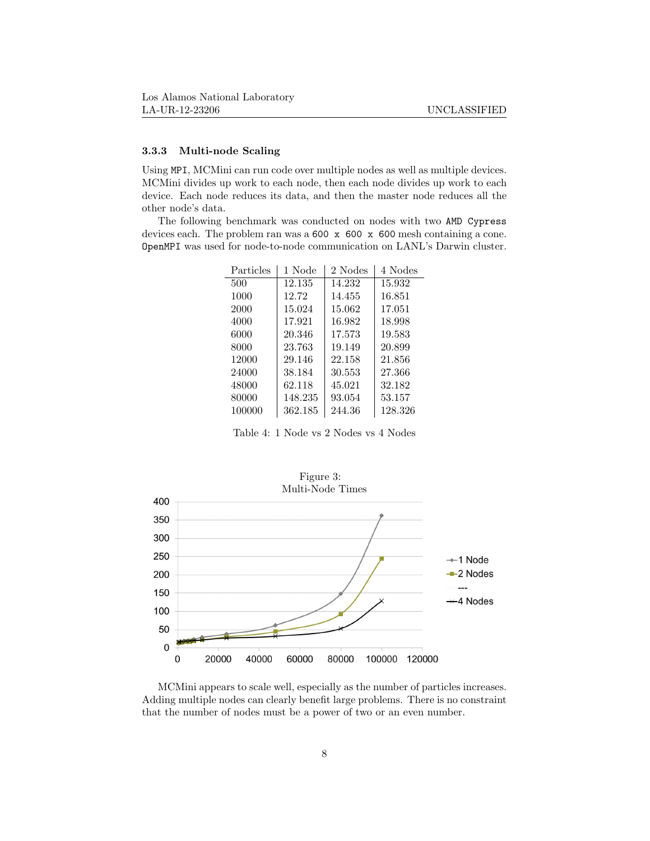### 3.3.3 Multi-node Scaling

Using MPI, MCMini can run code over multiple nodes as well as multiple devices. MCMini divides up work to each node, then each node divides up work to each device. Each node reduces its data, and then the master node reduces all the other node's data.

The following benchmark was conducted on nodes with two AMD Cypress devices each. The problem ran was a 600 x 600 x 600 mesh containing a cone. OpenMPI was used for node-to-node communication on LANL's Darwin cluster.

| Particles | 1 Node  | 2 Nodes | 4 Nodes |
|-----------|---------|---------|---------|
| 500       | 12.135  | 14.232  | 15.932  |
| 1000      | 12.72   | 14.455  | 16.851  |
| 2000      | 15.024  | 15.062  | 17.051  |
| 4000      | 17.921  | 16.982  | 18.998  |
| 6000      | 20.346  | 17.573  | 19.583  |
| 8000      | 23.763  | 19.149  | 20.899  |
| 12000     | 29.146  | 22.158  | 21.856  |
| 24000     | 38.184  | 30.553  | 27.366  |
| 48000     | 62.118  | 45.021  | 32.182  |
| 80000     | 148.235 | 93.054  | 53.157  |
| 100000    | 362.185 | 244.36  | 128.326 |

Table 4: 1 Node vs 2 Nodes vs 4 Nodes



MCMini appears to scale well, especially as the number of particles increases. Adding multiple nodes can clearly benefit large problems. There is no constraint that the number of nodes must be a power of two or an even number.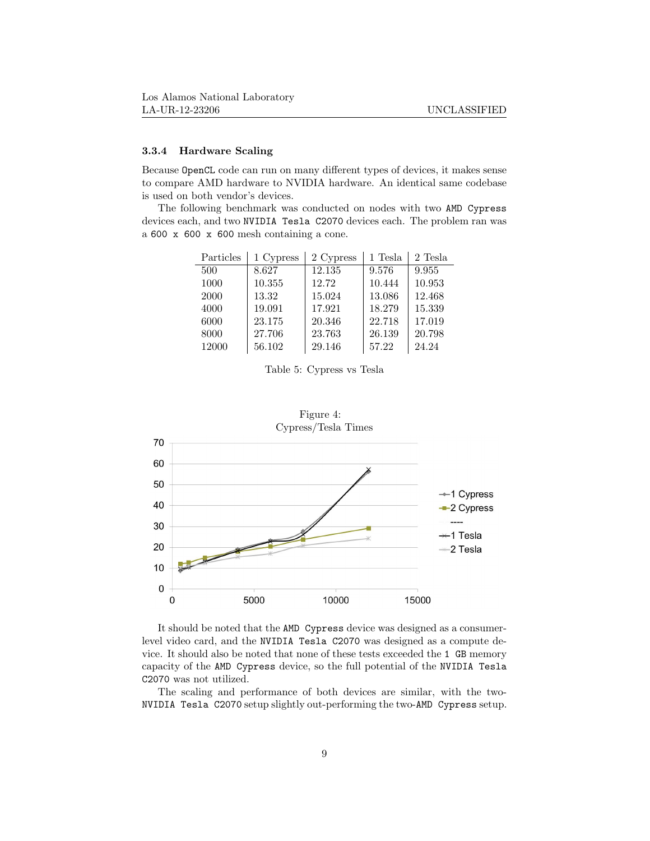#### 3.3.4 Hardware Scaling

Because OpenCL code can run on many different types of devices, it makes sense to compare AMD hardware to NVIDIA hardware. An identical same codebase is used on both vendor's devices.

The following benchmark was conducted on nodes with two AMD Cypress devices each, and two NVIDIA Tesla C2070 devices each. The problem ran was a 600 x 600 x 600 mesh containing a cone.

| Particles | 1 Cypress | 2 Cypress | 1 Tesla | 2 Tesla |
|-----------|-----------|-----------|---------|---------|
| 500       | 8.627     | 12.135    | 9.576   | 9.955   |
| 1000      | 10.355    | 12.72     | 10.444  | 10.953  |
| 2000      | 13.32     | 15.024    | 13.086  | 12.468  |
| 4000      | 19.091    | 17.921    | 18.279  | 15.339  |
| 6000      | 23.175    | 20.346    | 22.718  | 17.019  |
| 8000      | 27.706    | 23.763    | 26.139  | 20.798  |
| 12000     | 56.102    | 29.146    | 57.22   | 24.24   |

Table 5: Cypress vs Tesla



It should be noted that the AMD Cypress device was designed as a consumerlevel video card, and the NVIDIA Tesla C2070 was designed as a compute device. It should also be noted that none of these tests exceeded the 1 GB memory capacity of the AMD Cypress device, so the full potential of the NVIDIA Tesla C2070 was not utilized.

The scaling and performance of both devices are similar, with the two-NVIDIA Tesla C2070 setup slightly out-performing the two-AMD Cypress setup.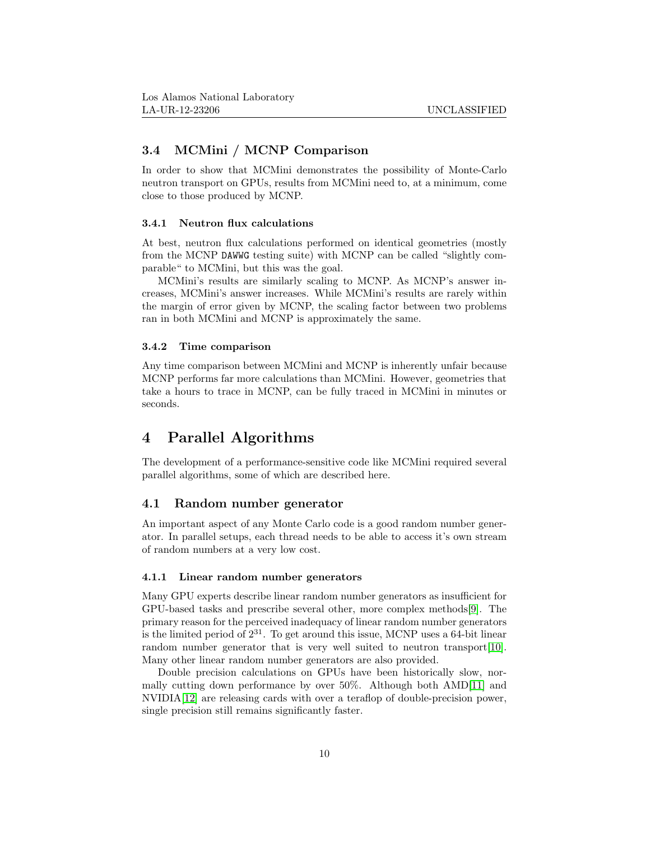## 3.4 MCMini / MCNP Comparison

In order to show that MCMini demonstrates the possibility of Monte-Carlo neutron transport on GPUs, results from MCMini need to, at a minimum, come close to those produced by MCNP.

#### 3.4.1 Neutron flux calculations

At best, neutron flux calculations performed on identical geometries (mostly from the MCNP DAWWG testing suite) with MCNP can be called "slightly comparable" to MCMini, but this was the goal.

MCMini's results are similarly scaling to MCNP. As MCNP's answer increases, MCMini's answer increases. While MCMini's results are rarely within the margin of error given by MCNP, the scaling factor between two problems ran in both MCMini and MCNP is approximately the same.

#### 3.4.2 Time comparison

Any time comparison between MCMini and MCNP is inherently unfair because MCNP performs far more calculations than MCMini. However, geometries that take a hours to trace in MCNP, can be fully traced in MCMini in minutes or seconds.

## 4 Parallel Algorithms

The development of a performance-sensitive code like MCMini required several parallel algorithms, some of which are described here.

### 4.1 Random number generator

An important aspect of any Monte Carlo code is a good random number generator. In parallel setups, each thread needs to be able to access it's own stream of random numbers at a very low cost.

#### 4.1.1 Linear random number generators

Many GPU experts describe linear random number generators as insufficient for GPU-based tasks and prescribe several other, more complex methods[\[9\]](#page-15-8). The primary reason for the perceived inadequacy of linear random number generators is the limited period of  $2^{31}$ . To get around this issue, MCNP uses a 64-bit linear random number generator that is very well suited to neutron transport [\[10\]](#page-15-9). Many other linear random number generators are also provided.

Double precision calculations on GPUs have been historically slow, normally cutting down performance by over 50%. Although both AMD[\[11\]](#page-15-10) and NVIDIA[\[12\]](#page-15-11) are releasing cards with over a teraflop of double-precision power, single precision still remains significantly faster.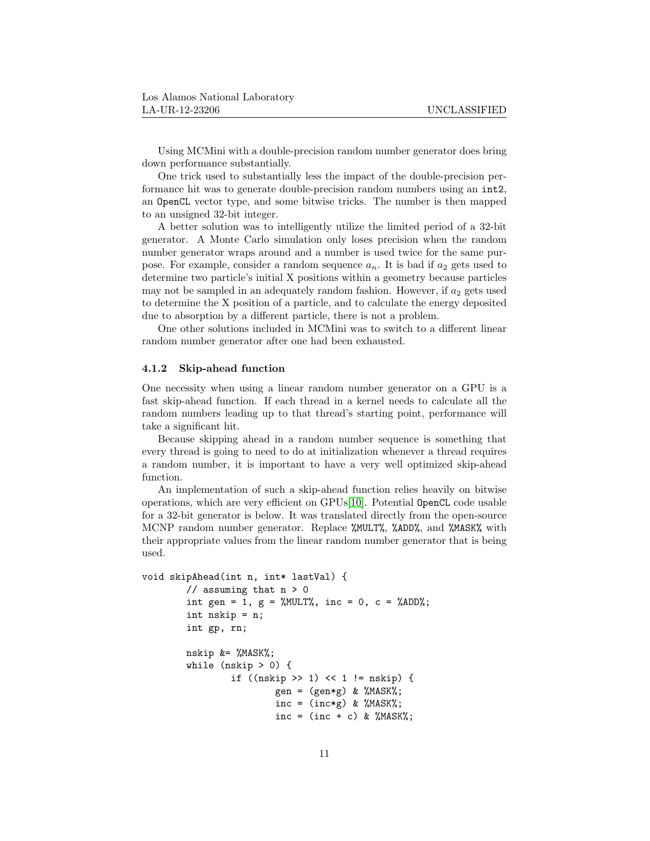Using MCMini with a double-precision random number generator does bring down performance substantially.

One trick used to substantially less the impact of the double-precision performance hit was to generate double-precision random numbers using an int2, an OpenCL vector type, and some bitwise tricks. The number is then mapped to an unsigned 32-bit integer.

A better solution was to intelligently utilize the limited period of a 32-bit generator. A Monte Carlo simulation only loses precision when the random number generator wraps around and a number is used twice for the same purpose. For example, consider a random sequence  $a_n$ . It is bad if  $a_2$  gets used to determine two particle's initial X positions within a geometry because particles may not be sampled in an adequately random fashion. However, if  $a_2$  gets used to determine the X position of a particle, and to calculate the energy deposited due to absorption by a different particle, there is not a problem.

One other solutions included in MCMini was to switch to a different linear random number generator after one had been exhausted.

#### 4.1.2 Skip-ahead function

One necessity when using a linear random number generator on a GPU is a fast skip-ahead function. If each thread in a kernel needs to calculate all the random numbers leading up to that thread's starting point, performance will take a significant hit.

Because skipping ahead in a random number sequence is something that every thread is going to need to do at initialization whenever a thread requires a random number, it is important to have a very well optimized skip-ahead function.

An implementation of such a skip-ahead function relies heavily on bitwise operations, which are very efficient on GPUs[\[10\]](#page-15-9). Potential OpenCL code usable for a 32-bit generator is below. It was translated directly from the open-source MCNP random number generator. Replace %MULT%, %ADD%, and %MASK% with their appropriate values from the linear random number generator that is being used.

```
void skipAhead(int n, int* lastVal) {
         // assuming that n > 0int gen = 1, g = \frac{0}{0}. inc = 0, c = \frac{0}{0}.
         int nskip = n;
         int gp, rn;
         nskip &= %MASK%;
         while (nskip > 0) {
                  if ((\text{nskip} > > 1) << 1 != \text{nskip}) {
                            gen = (gen * g) & %<i>MASK</i>%;
                            inc = (inc * g) & %MASK%;
                            inc = (inc + c) & %MASK%;
```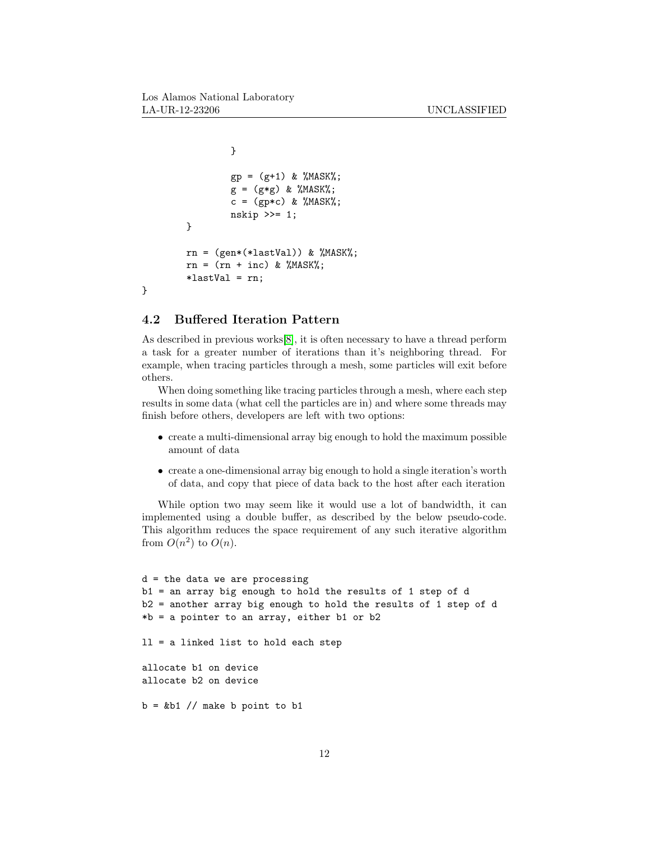```
}
          gp = (g+1) \& \text{WMSK}\;;g = (g * g) \& \frac{\%}{MASK};
          c = (gp*c) & MASK;
          nskip >>= 1;
}
rn = (gen*(\texttt{lastVal})) & \texttt{WMSK};
rn = (rn + inc) & %MASK%;
*lastVal = rn;
```
### 4.2 Buffered Iteration Pattern

}

As described in previous works[\[8\]](#page-15-7), it is often necessary to have a thread perform a task for a greater number of iterations than it's neighboring thread. For example, when tracing particles through a mesh, some particles will exit before others.

When doing something like tracing particles through a mesh, where each step results in some data (what cell the particles are in) and where some threads may finish before others, developers are left with two options:

- create a multi-dimensional array big enough to hold the maximum possible amount of data
- create a one-dimensional array big enough to hold a single iteration's worth of data, and copy that piece of data back to the host after each iteration

While option two may seem like it would use a lot of bandwidth, it can implemented using a double buffer, as described by the below pseudo-code. This algorithm reduces the space requirement of any such iterative algorithm from  $O(n^2)$  to  $O(n)$ .

```
d = the data we are processing
b1 = an array big enough to hold the results of 1 step of d
b2 = another array big enough to hold the results of 1 step of d
*b = a pointer to an array, either b1 or b2
ll = a linked list to hold each step
allocate b1 on device
allocate b2 on device
b = \&b1 // make b point to b1
```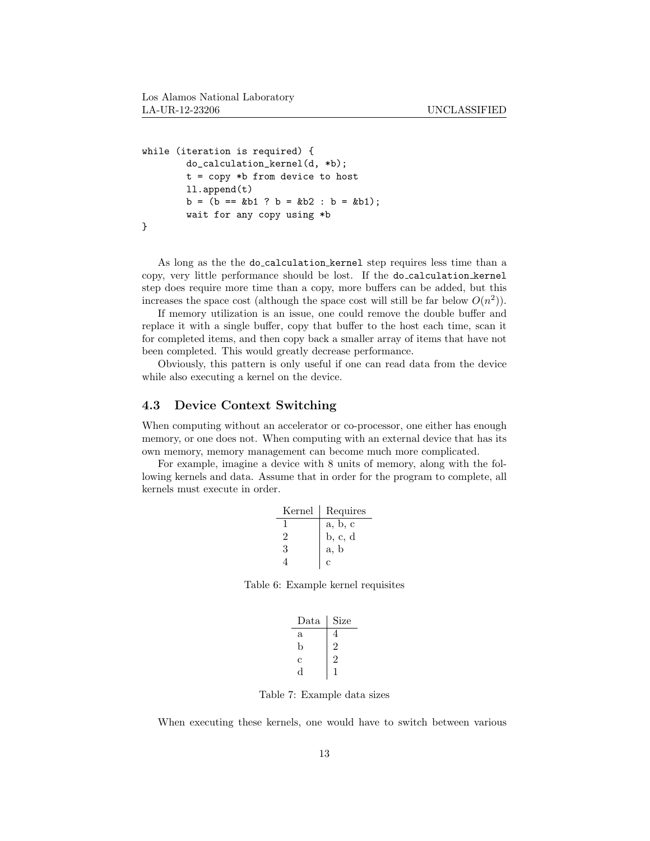```
while (iteration is required) {
        do_calculation_kernel(d, *b);
        t = copy *b from device to host
        ll.append(t)
        b = (b == kb1 ? b = kb2 : b = kb1);wait for any copy using *b
}
```
As long as the the do calculation kernel step requires less time than a copy, very little performance should be lost. If the do calculation kernel step does require more time than a copy, more buffers can be added, but this increases the space cost (although the space cost will still be far below  $O(n^2)$ ).

If memory utilization is an issue, one could remove the double buffer and replace it with a single buffer, copy that buffer to the host each time, scan it for completed items, and then copy back a smaller array of items that have not been completed. This would greatly decrease performance.

Obviously, this pattern is only useful if one can read data from the device while also executing a kernel on the device.

## 4.3 Device Context Switching

When computing without an accelerator or co-processor, one either has enough memory, or one does not. When computing with an external device that has its own memory, memory management can become much more complicated.

For example, imagine a device with 8 units of memory, along with the following kernels and data. Assume that in order for the program to complete, all kernels must execute in order.

| Kernel | Requires                                   |
|--------|--------------------------------------------|
|        | a, b, c                                    |
| 2      | $\overline{b}, \overline{c}, \overline{d}$ |
| 3      | a, b                                       |
|        | с                                          |
|        |                                            |

Table 6: Example kernel requisites

| Data | Size |
|------|------|
| a    | 4    |
| b    |      |
| с    |      |
|      |      |

Table 7: Example data sizes

When executing these kernels, one would have to switch between various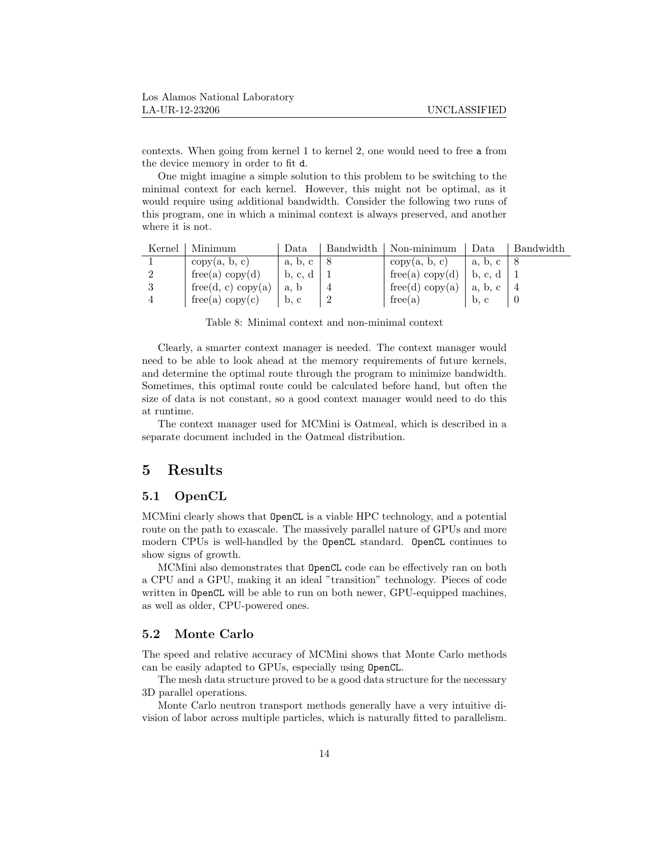contexts. When going from kernel 1 to kernel 2, one would need to free a from the device memory in order to fit d.

One might imagine a simple solution to this problem to be switching to the minimal context for each kernel. However, this might not be optimal, as it would require using additional bandwidth. Consider the following two runs of this program, one in which a minimal context is always preserved, and another where it is not.

| Kernel | Minimum            | Data             | Bandwidth | Non-minimum     | Data                     | Bandwidth |
|--------|--------------------|------------------|-----------|-----------------|--------------------------|-----------|
|        | copy(a, b, c)      | $a, b, c \mid 8$ |           | copy(a, b, c)   | a, b, c                  |           |
|        | free(a) copy(d)    | b, c, d          |           | free(a) copy(d) | b, c, d                  |           |
|        | free(d, c) copy(a) | a, b             |           | free(d) copy(a) | a, b, c                  |           |
|        | free(a) copy(c)    | b, c             |           | free(a)         | $\mathbf{b}, \mathbf{c}$ |           |

Table 8: Minimal context and non-minimal context

Clearly, a smarter context manager is needed. The context manager would need to be able to look ahead at the memory requirements of future kernels, and determine the optimal route through the program to minimize bandwidth. Sometimes, this optimal route could be calculated before hand, but often the size of data is not constant, so a good context manager would need to do this at runtime.

The context manager used for MCMini is Oatmeal, which is described in a separate document included in the Oatmeal distribution.

## 5 Results

## 5.1 OpenCL

MCMini clearly shows that OpenCL is a viable HPC technology, and a potential route on the path to exascale. The massively parallel nature of GPUs and more modern CPUs is well-handled by the OpenCL standard. OpenCL continues to show signs of growth.

MCMini also demonstrates that OpenCL code can be effectively ran on both a CPU and a GPU, making it an ideal "transition" technology. Pieces of code written in OpenCL will be able to run on both newer, GPU-equipped machines, as well as older, CPU-powered ones.

#### 5.2 Monte Carlo

The speed and relative accuracy of MCMini shows that Monte Carlo methods can be easily adapted to GPUs, especially using OpenCL.

The mesh data structure proved to be a good data structure for the necessary 3D parallel operations.

Monte Carlo neutron transport methods generally have a very intuitive division of labor across multiple particles, which is naturally fitted to parallelism.